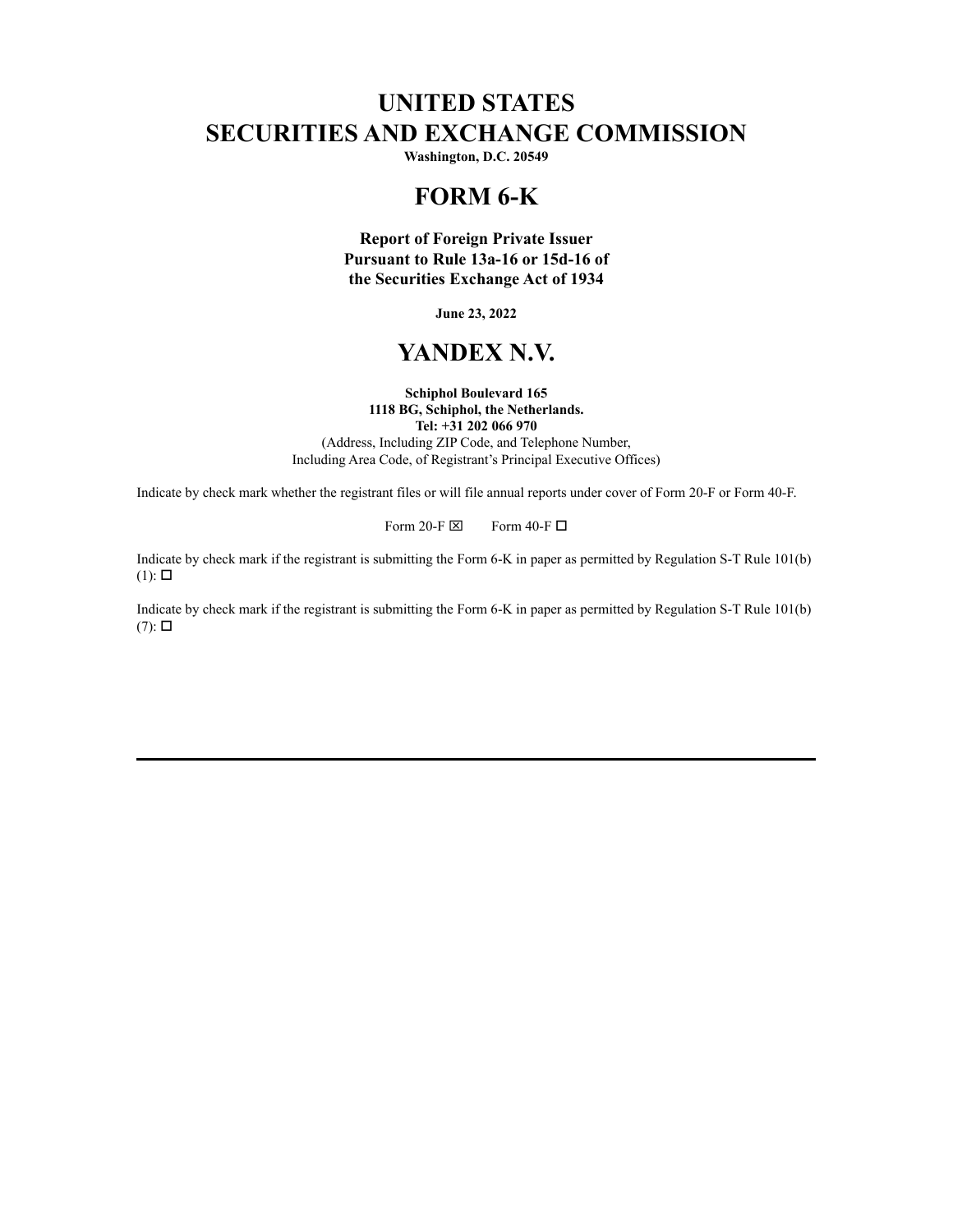# **UNITED STATES SECURITIES AND EXCHANGE COMMISSION**

**Washington, D.C. 20549**

## **FORM 6-K**

**Report of Foreign Private Issuer Pursuant to Rule 13a-16 or 15d-16 of the Securities Exchange Act of 1934**

**June 23, 2022**

# **YANDEX N.V.**

#### **Schiphol Boulevard 165 1118 BG, Schiphol, the Netherlands. Tel: +31 202 066 970**

(Address, Including ZIP Code, and Telephone Number, Including Area Code, of Registrant's Principal Executive Offices)

Indicate by check mark whether the registrant files or will file annual reports under cover of Form 20-F or Form 40-F.

Form 20-F  $\boxtimes$  Form 40-F  $\Box$ 

Indicate by check mark if the registrant is submitting the Form 6-K in paper as permitted by Regulation S-T Rule 101(b)  $(1)$ :  $\square$ 

Indicate by check mark if the registrant is submitting the Form 6-K in paper as permitted by Regulation S-T Rule 101(b)  $(7)$ :  $\square$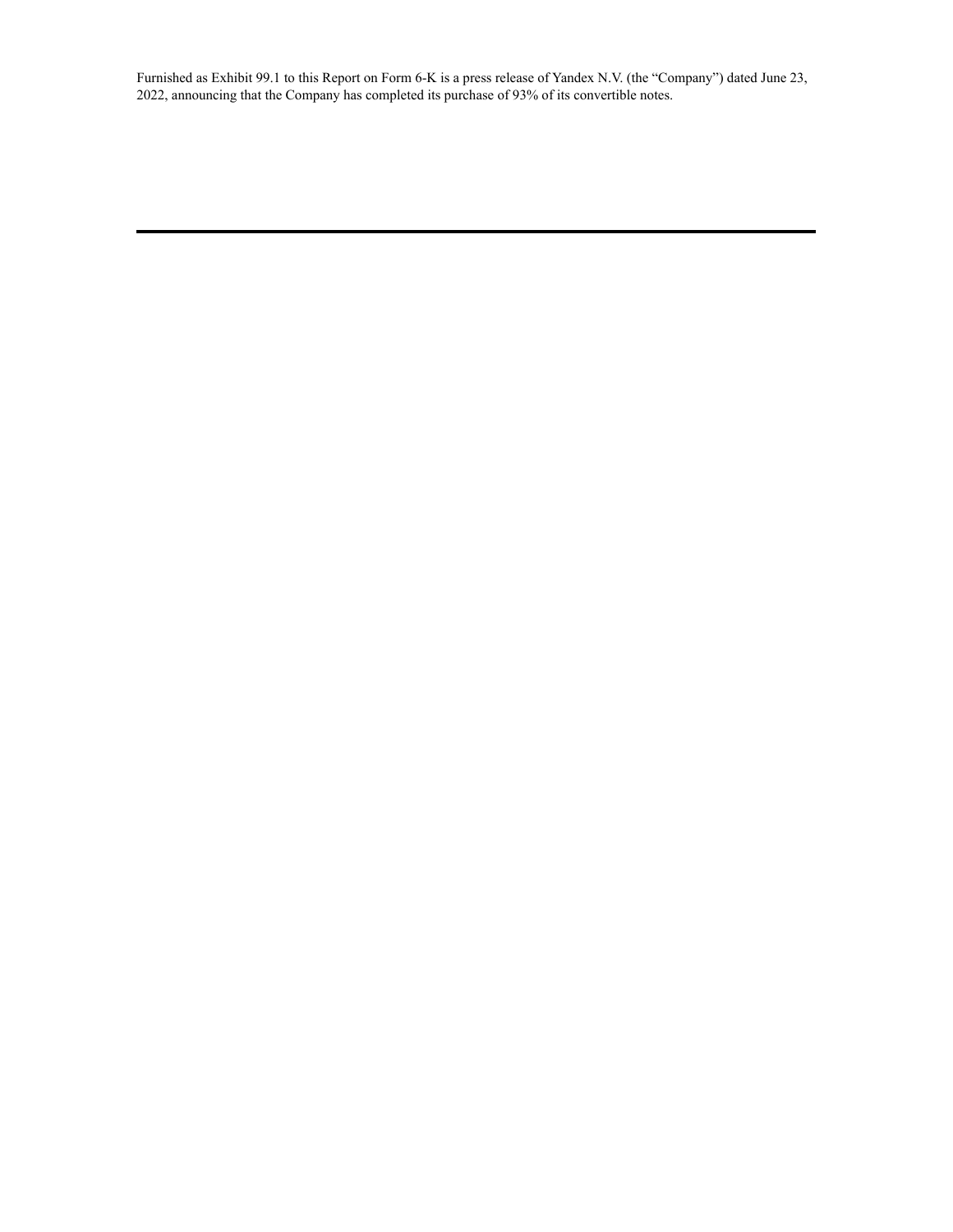Furnished as Exhibit 99.1 to this Report on Form 6-K is a press release of Yandex N.V. (the "Company") dated June 23, 2022, announcing that the Company has completed its purchase of 93% of its convertible notes.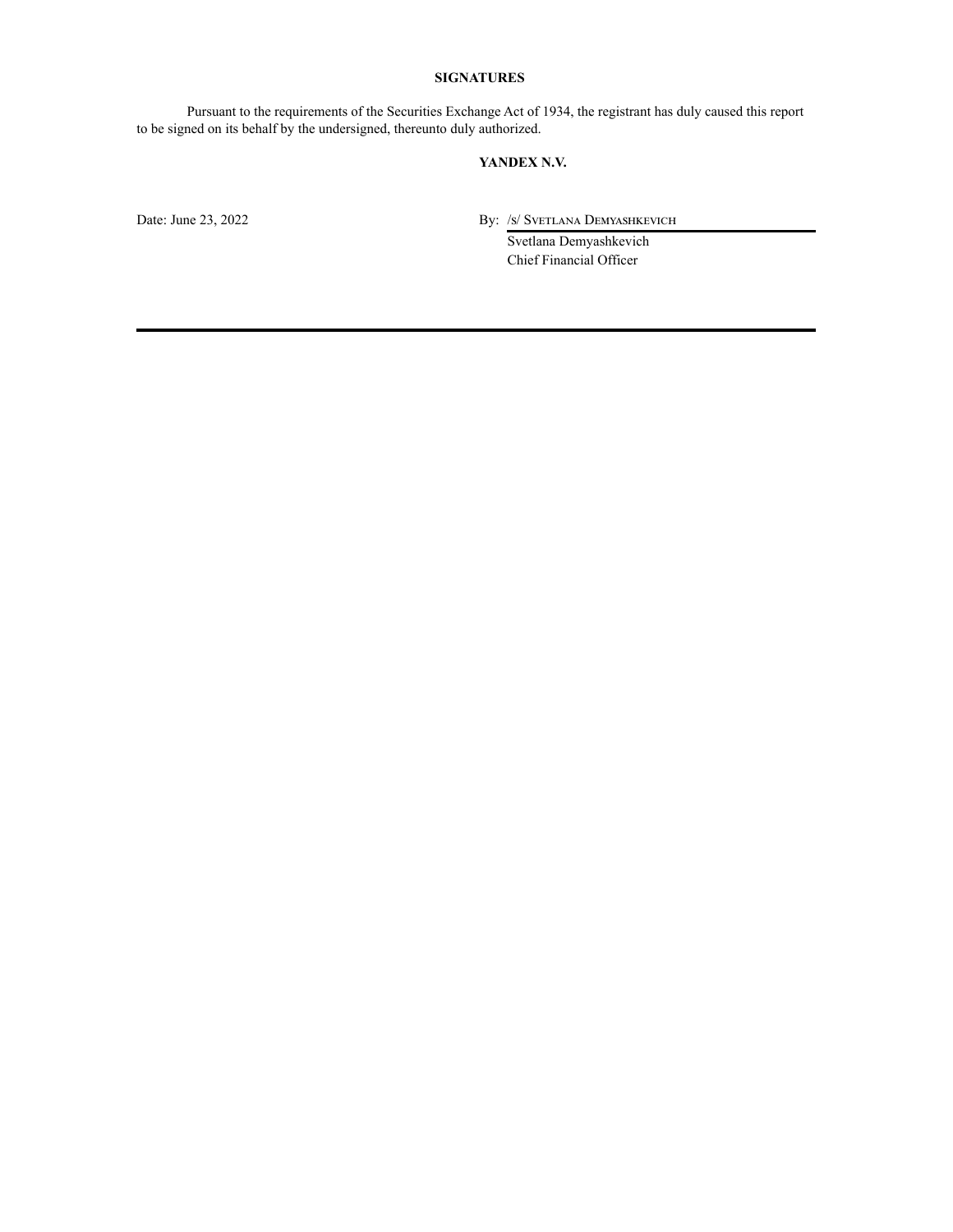#### **SIGNATURES**

Pursuant to the requirements of the Securities Exchange Act of 1934, the registrant has duly caused this report to be signed on its behalf by the undersigned, thereunto duly authorized.

#### **YANDEX N.V.**

Date: June 23, 2022 By: /s/ Svetlana Demyashkevich

Svetlana Demyashkevich Chief Financial Officer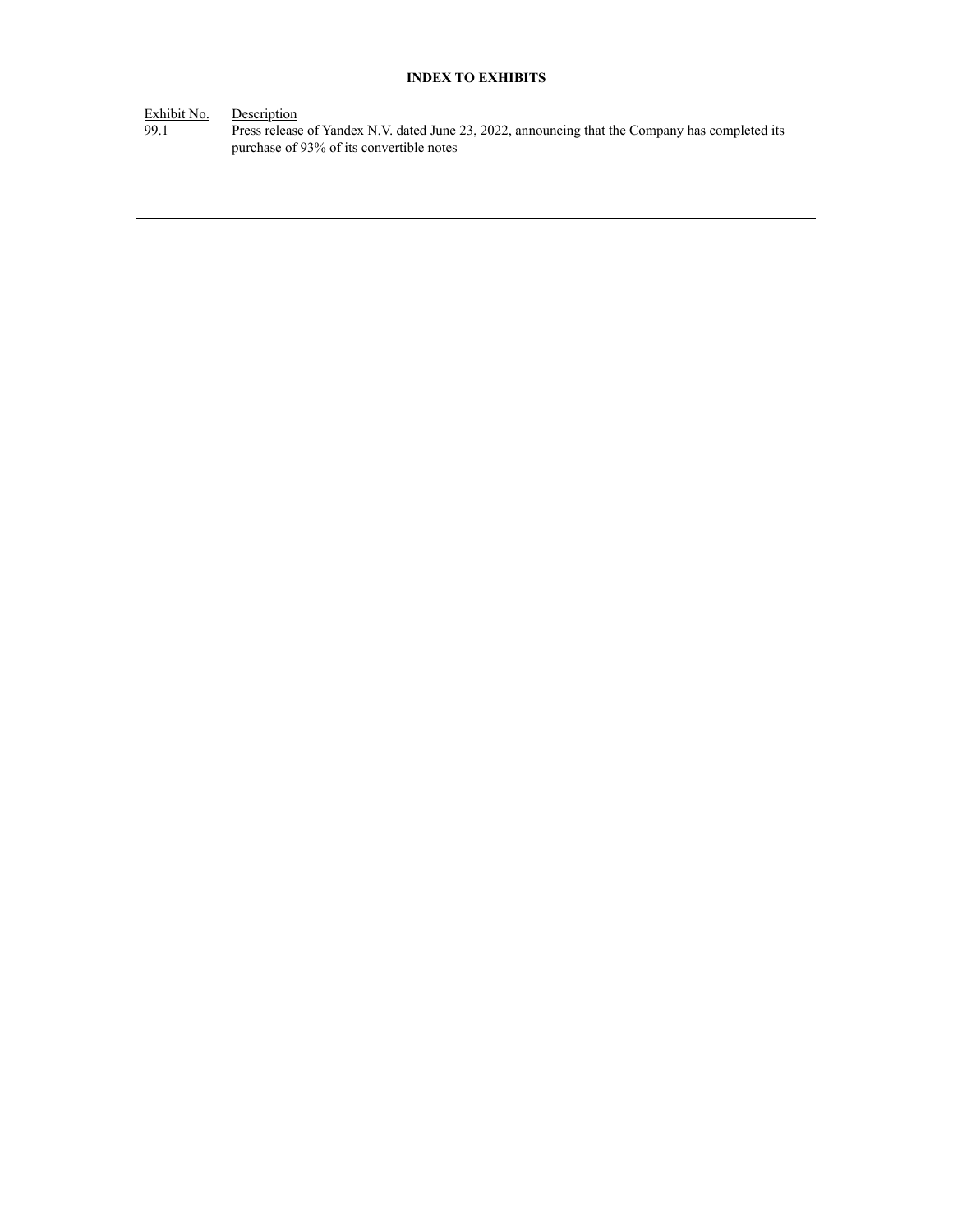### **INDEX TO EXHIBITS**

Exhibit No. Description

99.1 Press release of Yandex N.V. dated June 23, 2022, announcing that the Company has completed its purchase of 93% of its convertible notes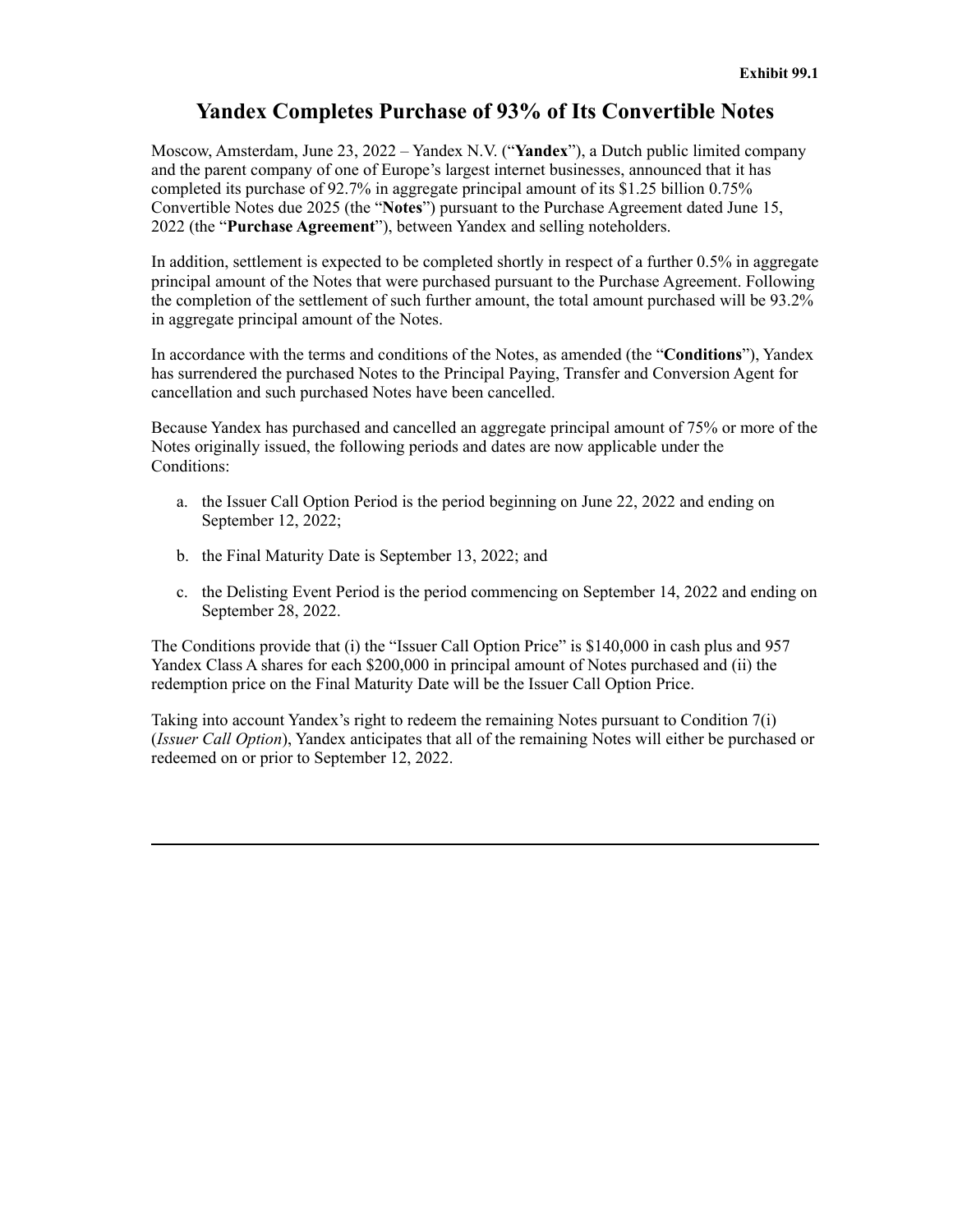## **Yandex Completes Purchase of 93% of Its Convertible Notes**

Moscow, Amsterdam, June 23, 2022 – Yandex N.V. ("**Yandex**"), a Dutch public limited company and the parent company of one of Europe's largest internet businesses, announced that it has completed its purchase of 92.7% in aggregate principal amount of its \$1.25 billion 0.75% Convertible Notes due 2025 (the "**Notes**") pursuant to the Purchase Agreement dated June 15, 2022 (the "**Purchase Agreement**"), between Yandex and selling noteholders.

In addition, settlement is expected to be completed shortly in respect of a further 0.5% in aggregate principal amount of the Notes that were purchased pursuant to the Purchase Agreement. Following the completion of the settlement of such further amount, the total amount purchased will be 93.2% in aggregate principal amount of the Notes.

In accordance with the terms and conditions of the Notes, as amended (the "**Conditions**"), Yandex has surrendered the purchased Notes to the Principal Paying, Transfer and Conversion Agent for cancellation and such purchased Notes have been cancelled.

Because Yandex has purchased and cancelled an aggregate principal amount of 75% or more of the Notes originally issued, the following periods and dates are now applicable under the Conditions:

- a. the Issuer Call Option Period is the period beginning on June 22, 2022 and ending on September 12, 2022;
- b. the Final Maturity Date is September 13, 2022; and
- c. the Delisting Event Period is the period commencing on September 14, 2022 and ending on September 28, 2022.

The Conditions provide that (i) the "Issuer Call Option Price" is \$140,000 in cash plus and 957 Yandex Class A shares for each \$200,000 in principal amount of Notes purchased and (ii) the redemption price on the Final Maturity Date will be the Issuer Call Option Price.

Taking into account Yandex's right to redeem the remaining Notes pursuant to Condition 7(i) (*Issuer Call Option*), Yandex anticipates that all of the remaining Notes will either be purchased or redeemed on or prior to September 12, 2022.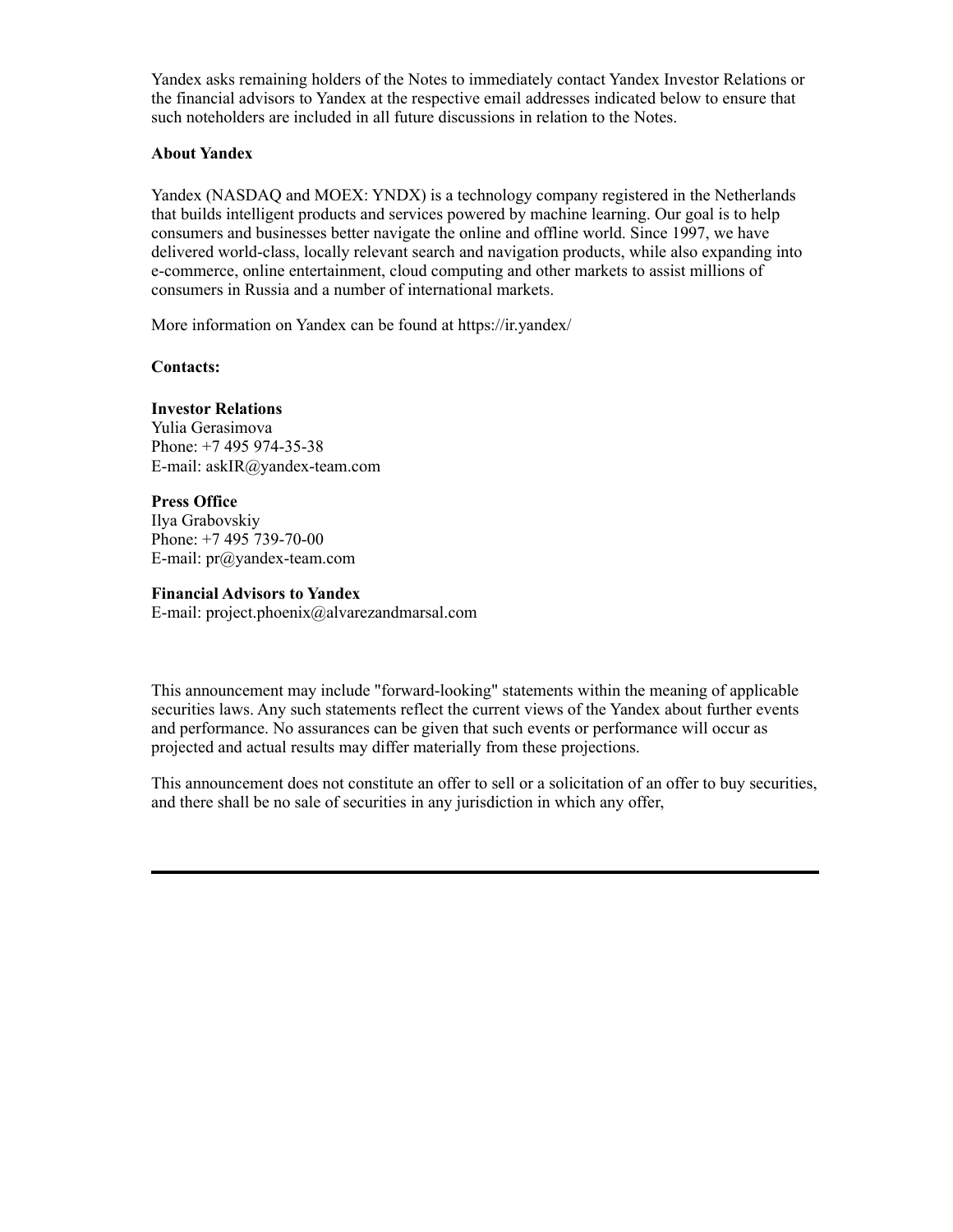Yandex asks remaining holders of the Notes to immediately contact Yandex Investor Relations or the financial advisors to Yandex at the respective email addresses indicated below to ensure that such noteholders are included in all future discussions in relation to the Notes.

### **About Yandex**

Yandex (NASDAQ and MOEX: YNDX) is a technology company registered in the Netherlands that builds intelligent products and services powered by machine learning. Our goal is to help consumers and businesses better navigate the online and offline world. Since 1997, we have delivered world-class, locally relevant search and navigation products, while also expanding into e-commerce, online entertainment, cloud computing and other markets to assist millions of consumers in Russia and a number of international markets.

More information on Yandex can be found at https://ir.yandex/

**Contacts:**

### **Investor Relations**

Yulia Gerasimova Phone: +7 495 974-35-38 E-mail: askIR@yandex-team.com

#### **Press Office**

Ilya Grabovskiy Phone: +7 495 739-70-00 E-mail: pr@yandex-team.com

#### **Financial Advisors to Yandex**

E-mail: project.phoenix@alvarezandmarsal.com

This announcement may include "forward-looking" statements within the meaning of applicable securities laws. Any such statements reflect the current views of the Yandex about further events and performance. No assurances can be given that such events or performance will occur as projected and actual results may differ materially from these projections.

This announcement does not constitute an offer to sell or a solicitation of an offer to buy securities, and there shall be no sale of securities in any jurisdiction in which any offer,